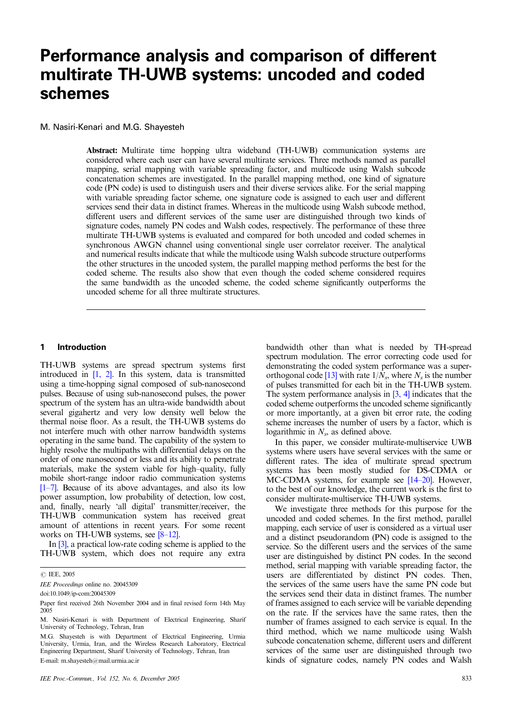# **Performance analysis and comparison of different multirate TH-UWB systems: uncoded and coded schemes**

M. Nasiri-Kenari and M.G. Shayesteh

Abstract: Multirate time hopping ultra wideband (TH-UWB) communication systems are considered where each user can have several multirate services. Three methods named as parallel mapping, serial mapping with variable spreading factor, and multicode using Walsh subcode concatenation schemes are investigated. In the parallel mapping method, one kind of signature code (PN code) is used to distinguish users and their diverse services alike. For the serial mapping with variable spreading factor scheme, one signature code is assigned to each user and different services send their data in distinct frames. Whereas in the multicode using Walsh subcode method, different users and different services of the same user are distinguished through two kinds of signature codes, namely PN codes and Walsh codes, respectively. The performance of these three multirate TH-UWB systems is evaluated and compared for both uncoded and coded schemes in synchronous AWGN channel using conventional single user correlator receiver. The analytical and numerical results indicate that while the multicode using Walsh subcode structure outperforms the other structures in the uncoded system, the parallel mapping method performs the best for the coded scheme. The results also show that even though the coded scheme considered requires the same bandwidth as the uncoded scheme, the coded scheme significantly outperforms the uncoded scheme for all three multirate structures.

#### **1 Introduction**

TH-UWB systems are spread spectrum systems first introduced in [1, 2]. In this system, data is transmitted using a time-hopping signal composed of sub-nanosecond pulses. Because of using sub-nanosecond pulses, the power spectrum of the system has an ultra-wide bandwidth about several gigahertz and very low density well below the thermal noise floor. As a result, the TH-UWB systems do not interfere much with other narrow bandwidth systems operating in the same band. The capability of the system to highly resolve the multipaths with differential delays on the order of one nanosecond or less and its ability to penetrate materials, make the system viable for high–quality, fully mobile short-range indoor radio communication systems [1–7]. Because of its above advantages, and also its low power assumption, low probability of detection, low cost, and, finally, nearly 'all digital' transmitter/receiver, the TH-UWB communication system has received great amount of attentions in recent years. For some recent works on TH-UWB systems, see [8–12].

In [3], a practical low-rate coding scheme is applied to the TH-UWB system, which does not require any extra

IEE Proceedings online no. 20045309

doi:10.1049/ip-com:20045309

E-mail: m.shayesteh@mail.urmia.ac.ir

bandwidth other than what is needed by TH-spread spectrum modulation. The error correcting code used for demonstrating the coded system performance was a superorthogonal code [13] with rate  $1/N_s$ , where  $N_s$  is the number of pulses transmitted for each bit in the TH-UWB system. The system performance analysis in  $[3, 4]$  indicates that the coded scheme outperforms the uncoded scheme significantly or more importantly, at a given bit error rate, the coding scheme increases the number of users by a factor, which is logarithmic in  $N_s$ , as defined above.

In this paper, we consider multirate-multiservice UWB systems where users have several services with the same or different rates. The idea of multirate spread spectrum systems has been mostly studied for DS-CDMA or MC-CDMA systems, for example see [14–20]. However, to the best of our knowledge, the current work is the first to consider multirate-multiservice TH-UWB systems.

We investigate three methods for this purpose for the uncoded and coded schemes. In the first method, parallel mapping, each service of user is considered as a virtual user and a distinct pseudorandom (PN) code is assigned to the service. So the different users and the services of the same user are distinguished by distinct PN codes. In the second method, serial mapping with variable spreading factor, the users are differentiated by distinct PN codes. Then, the services of the same users have the same PN code but the services send their data in distinct frames. The number of frames assigned to each service will be variable depending on the rate. If the services have the same rates, then the number of frames assigned to each service is equal. In the third method, which we name multicode using Walsh subcode concatenation scheme, different users and different services of the same user are distinguished through two kinds of signature codes, namely PN codes and Walsh

*IEE, 2005* 

Paper first received 26th November 2004 and in final revised form 14th May 2005

M. Nasiri-Kenari is with Department of Electrical Engineering, Sharif University of Technology, Tehran, Iran

M.G. Shayesteh is with Department of Electrical Engineering, Urmia University, Urmia, Iran, and the Wireless Research Laboratory, Electrical Engineering Department, Sharif University of Technology, Tehran, Iran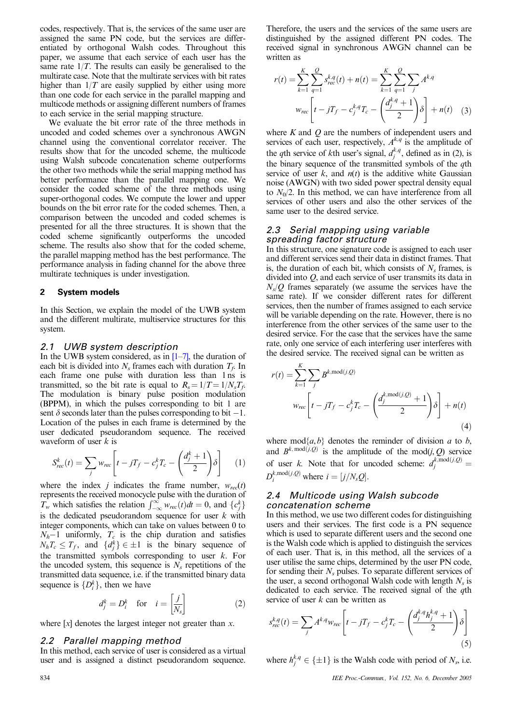codes, respectively. That is, the services of the same user are assigned the same PN code, but the services are differentiated by orthogonal Walsh codes. Throughout this paper, we assume that each service of each user has the same rate  $1/T$ . The results can easily be generalised to the multirate case. Note that the multirate services with bit rates higher than  $1/T$  are easily supplied by either using more than one code for each service in the parallel mapping and multicode methods or assigning different numbers of frames to each service in the serial mapping structure.

We evaluate the bit error rate of the three methods in uncoded and coded schemes over a synchronous AWGN channel using the conventional correlator receiver. The results show that for the uncoded scheme, the multicode using Walsh subcode concatenation scheme outperforms the other two methods while the serial mapping method has better performance than the parallel mapping one. We consider the coded scheme of the three methods using super-orthogonal codes. We compute the lower and upper bounds on the bit error rate for the coded schemes. Then, a comparison between the uncoded and coded schemes is presented for all the three structures. It is shown that the coded scheme significantly outperforms the uncoded scheme. The results also show that for the coded scheme, the parallel mapping method has the best performance. The performance analysis in fading channel for the above three multirate techniques is under investigation.

#### **2 System models**

In this Section, we explain the model of the UWB system and the different multirate, multiservice structures for this system.

#### *2.1 UWB system description*

In the UWB system considered, as in  $[1-7]$ , the duration of each bit is divided into  $N_s$  frames each with duration  $T_f$ . In each frame one pulse with duration less than 1 ns is transmitted, so the bit rate is equal to  $R_s = 1/T = 1/N_sT_f$ . The modulation is binary pulse position modulation (BPPM), in which the pulses corresponding to bit 1 are sent  $\delta$  seconds later than the pulses corresponding to bit  $-1$ . Location of the pulses in each frame is determined by the user dedicated pseudorandom sequence. The received waveform of user  $k$  is

$$
S_{rec}^{k}(t) = \sum_{j} w_{rec} \left[ t - jT_f - c_j^k T_c - \left( \frac{d_j^k + 1}{2} \right) \delta \right]
$$
 (1)

where the index j indicates the frame number,  $w_{rec}(t)$ represents the received monocycle pulse with the duration of  $T_w$  which satisfies the relation  $\int_{-\infty}^{\infty} w_{rec}(t) dt = 0$ , and  $\{c_j^k\}$ is the dedicated pseudorandom sequence for user  $k$  with integer components, which can take on values between 0 to  $N_h-1$  uniformly,  $T_c$  is the chip duration and satisfies  $N_hT_c \leq T_f$ , and  $\{d_j^k\} \in \pm 1$  is the binary sequence of the transmitted symbols corresponding to user  $k$ . For the uncoded system, this sequence is  $N<sub>s</sub>$  repetitions of the transmitted data sequence, i.e. if the transmitted binary data sequence is  $\{D_i^k\}$ , then we have

$$
d_j^k = D_i^k \quad \text{for} \quad i = \left[\frac{j}{N_s}\right] \tag{2}
$$

where  $[x]$  denotes the largest integer not greater than x.

#### *2.2 Parallel mapping method*

In this method, each service of user is considered as a virtual user and is assigned a distinct pseudorandom sequence. Therefore, the users and the services of the same users are distinguished by the assigned different PN codes. The received signal in synchronous AWGN channel can be written as

$$
r(t) = \sum_{k=1}^{K} \sum_{q=1}^{Q} s_{rec}^{k,q}(t) + n(t) = \sum_{k=1}^{K} \sum_{q=1}^{Q} \sum_{j} A^{k,q}
$$

$$
w_{rec} \left[ t - jT_f - c_j^{k,q} T_c - \left( \frac{d_j^{k,q} + 1}{2} \right) \delta \right] + n(t) \quad (3)
$$

where  $K$  and  $\hat{O}$  are the numbers of independent users and services of each user, respectively,  $A^{k,q}$  is the amplitude of the *q*th service of *k*th user's signal,  $d_j^{k,q}$ , defined as in (2), is the binary sequence of the transmitted symbols of the  $q$ th service of user  $k$ , and  $n(t)$  is the additive white Gaussian noise (AWGN) with two sided power spectral density equal to  $N_0/2$ . In this method, we can have interference from all services of other users and also the other services of the same user to the desired service.

# *2.3 Serial mapping using variable spreading factor structure*

In this structure, one signature code is assigned to each user and different services send their data in distinct frames. That is, the duration of each bit, which consists of  $N<sub>s</sub>$  frames, is divided into Q, and each service of user transmits its data in  $N_s/Q$  frames separately (we assume the services have the same rate). If we consider different rates for different services, then the number of frames assigned to each service will be variable depending on the rate. However, there is no interference from the other services of the same user to the desired service. For the case that the services have the same rate, only one service of each interfering user interferes with the desired service. The received signal can be written as

$$
r(t) = \sum_{k=1}^{K} \sum_{j} B^{k, \text{mod}(j, Q)}
$$
  

$$
w_{rec} \left[ t - jT_f - c_j^k T_c - \left( \frac{d_j^{k, \text{mod}(j, Q)} + 1}{2} \right) \delta \right] + n(t)
$$
  
(4)

where  $mod{a, b}$  denotes the reminder of division a to b, and  $B^k$ , mod $(j, Q)$  is the amplitude of the mod $(j, Q)$  service of user *k*. Note that for uncoded scheme:  $d_j^{k, \text{mod}(j, Q)} =$  $D_i^{k, \text{mod}(j, Q)}$  where  $i = [j/N_s Q]$ .

#### *2.4 Multicode using Walsh subcode concatenation scheme*

In this method, we use two different codes for distinguishing users and their services. The first code is a PN sequence which is used to separate different users and the second one is the Walsh code which is applied to distinguish the services of each user. That is, in this method, all the services of a user utilise the same chips, determined by the user PN code, for sending their  $N_s$  pulses. To separate different services of the user, a second orthogonal Walsh code with length  $N_s$  is dedicated to each service. The received signal of the qth service of user  $k$  can be written as

$$
s_{rec}^{k,q}(t) = \sum_{j} A^{k,q} w_{rec} \left[ t - jT_f - c_j^k T_c - \left( \frac{d_j^{k,q} h_j^{k,q} + 1}{2} \right) \delta \right]
$$
\n
$$
\tag{5}
$$

where  $h_j^{k,q} \in \{\pm 1\}$  is the Walsh code with period of  $N_s$ , i.e.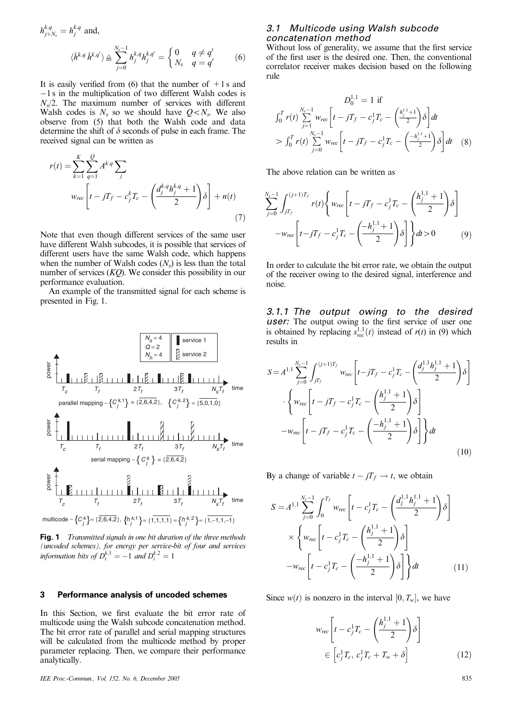$$
h_{j+N_s}^{k,q} = h_j^{k,q} \text{ and,}
$$
  

$$
\langle \bar{h}^{k,q} \, \bar{h}^{k,q'} \rangle \triangleq \sum_{j=0}^{N_s-1} h_j^{k,q} h_j^{k,q'} = \begin{cases} 0 & q \neq q' \\ N_s & q = q' \end{cases}
$$
 (6)

It is easily verified from (6) that the number of  $+1s$  and  $-1$  s in the multiplication of two different Walsh codes is  $N_s/2$ . The maximum number of services with different Walsh codes is  $N_s$  so we should have  $Q \lt N_s$ . We also observe from (5) that both the Walsh code and data determine the shift of  $\delta$  seconds of pulse in each frame. The received signal can be written as

$$
r(t) = \sum_{k=1}^{K} \sum_{q=1}^{Q} A^{k,q} \sum_{j}
$$
  

$$
w_{rec} \left[ t - jT_f - c_j^k T_c - \left( \frac{d_j^{k,q} h_j^{k,q} + 1}{2} \right) \delta \right] + n(t)
$$

$$
(7)
$$

Note that even though different services of the same user have different Walsh subcodes, it is possible that services of different users have the same Walsh code, which happens when the number of Walsh codes  $(N<sub>s</sub>)$  is less than the total number of services  $(KQ)$ . We consider this possibility in our performance evaluation.

An example of the transmitted signal for each scheme is presented in Fig. 1.



**Fig. 1** Transmitted signals in one bit duration of the three methods (uncoded schemes), for energy per service-bit of four and services information bits of  $D_i^{k,1} = -1$  and  $D_i^{k,2} = 1$ 

#### **3 Performance analysis of uncoded schemes**

In this Section, we first evaluate the bit error rate of multicode using the Walsh subcode concatenation method. The bit error rate of parallel and serial mapping structures will be calculated from the multicode method by proper parameter replacing. Then, we compare their performance analytically.

#### IEE Proc.-Commun., Vol. 152, No. 6, December 2005 835

# *3.1 Multicode using Walsh subcode concatenation method*

Without loss of generality, we assume that the first service of the first user is the desired one. Then, the conventional correlator receiver makes decision based on the following rule

$$
D_0^{1,1} = 1 \text{ if}
$$
  
\n
$$
\int_0^T r(t) \sum_{j=1}^{N_s-1} w_{rec} \left[ t - jT_f - c_j^1 T_c - \left( \frac{h_j^{1,1}+1}{2} \right) \delta \right] dt
$$
  
\n
$$
> \int_0^T r(t) \sum_{j=0}^{N_s-1} w_{rec} \left[ t - jT_f - c_j^1 T_c - \left( \frac{-h_j^{1,1}+1}{2} \right) \delta \right] dt \quad (8)
$$

The above relation can be written as

$$
\sum_{j=0}^{N_s-1} \int_{jT_f}^{(j+1)T_f} r(t) \left\{ w_{rec} \left[ t - jT_f - c_j^1 T_c - \left( \frac{h_j^{1,1} + 1}{2} \right) \delta \right] - w_{rec} \left[ t - jT_f - c_j^1 T_c - \left( \frac{-h_j^{1,1} + 1}{2} \right) \delta \right] \right\} dt > 0
$$
 (9)

In order to calculate the bit error rate, we obtain the output of the receiver owing to the desired signal, interference and noise.

*3.1.1 The output owing to the desired user:* The output owing to the first service of user one is obtained by replacing  $s_{rec}^{1,1}(t)$  instead of  $r(t)$  in (9) which results in

$$
S = A^{1,1} \sum_{j=0}^{N_s - 1} \int_{jT_f}^{(j+1)T_f} w_{rec} \left[ t - jT_f - c_j^1 T_c - \left( \frac{d_j^{1,1} h_j^{1,1} + 1}{2} \right) \delta \right]
$$

$$
\cdot \left\{ w_{rec} \left[ t - jT_f - c_j^1 T_c - \left( \frac{h_j^{1,1} + 1}{2} \right) \delta \right] - w_{rec} \left[ t - jT_f - c_j^1 T_c - \left( \frac{-h_j^{1,1} + 1}{2} \right) \delta \right] \right\} dt
$$
(10)

By a change of variable  $t - jT_f \rightarrow t$ , we obtain

$$
S = A^{1,1} \sum_{j=0}^{N_s - 1} \int_0^{T_f} w_{rec} \left[ t - c_j^1 T_c - \left( \frac{d_j^{1,1} h_j^{1,1} + 1}{2} \right) \delta \right]
$$

$$
\times \left\{ w_{rec} \left[ t - c_j^1 T_c - \left( \frac{h_j^{1,1} + 1}{2} \right) \delta \right] - w_{rec} \left[ t - c_j^1 T_c - \left( \frac{-h_j^{1,1} + 1}{2} \right) \delta \right] \right\} dt \tag{11}
$$

Since  $w(t)$  is nonzero in the interval  $[0, T_w]$ , we have

$$
w_{rec}\left[t - c_j^1 T_c - \left(\frac{h_j^{1,1} + 1}{2}\right)\delta\right]
$$

$$
\in \left[c_j^1 T_c, c_j^1 T_c + T_w + \delta\right]
$$
(12)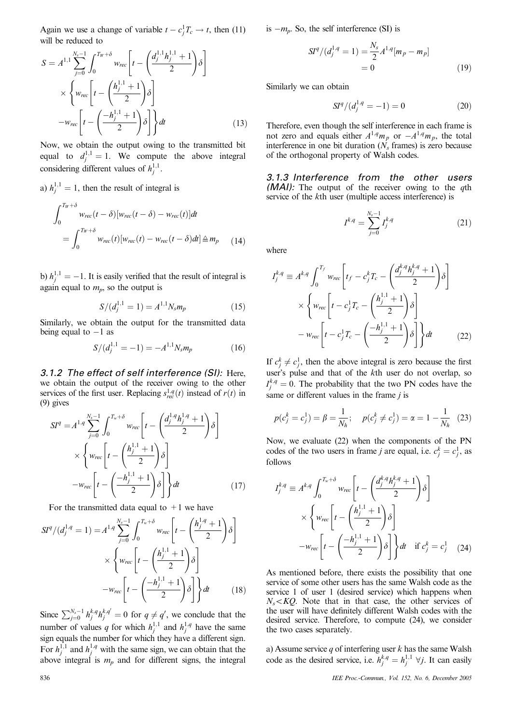Again we use a change of variable  $t - c_j^1 T_c \rightarrow t$ , then (11) will be reduced to

$$
S = A^{1,1} \sum_{j=0}^{N_s - 1} \int_0^{T_W + \delta} w_{rec} \left[ t - \left( \frac{d_j^{1,1} h_j^{1,1} + 1}{2} \right) \delta \right]
$$
  
 
$$
\times \left\{ w_{rec} \left[ t - \left( \frac{h_j^{1,1} + 1}{2} \right) \delta \right]
$$
  
- 
$$
w_{rec} \left[ t - \left( \frac{-h_j^{1,1} + 1}{2} \right) \delta \right] \right\} dt
$$
 (13)

Now, we obtain the output owing to the transmitted bit equal to  $d_j^{1,1} = 1$ . We compute the above integral considering different values of  $h_j^{1,1}$ .

a) 
$$
h_j^{1,1} = 1
$$
, then the result of integral is

$$
\int_0^{T_W+\delta} w_{rec}(t-\delta)[w_{rec}(t-\delta) - w_{rec}(t)]dt
$$
  
= 
$$
\int_0^{T_W+\delta} w_{rec}(t)[w_{rec}(t) - w_{rec}(t-\delta)dt] \triangleq m_p
$$
 (14)

b)  $h_j^{1,1} = -1$ . It is easily verified that the result of integral is again equal to  $m_p$ , so the output is

$$
S/(d_j^{1,1} = 1) = A^{1,1} N_s m_p \tag{15}
$$

Similarly, we obtain the output for the transmitted data being equal to  $-1$  as

$$
S/(d_j^{1,1} = -1) = -A^{1,1} N_s m_p \tag{16}
$$

*3.1.2 The effect of self interference (SI):* Here, we obtain the output of the receiver owing to the other services of the first user. Replacing  $s_{rec}^{1,q}(t)$  instead of  $r(t)$  in (9) gives

$$
SI^{q} = A^{1,q} \sum_{j=0}^{N_{s}-1} \int_{0}^{T_{w}+\delta} w_{rec} \left[ t - \left( \frac{d_{j}^{1,q} h_{j}^{1,q} + 1}{2} \right) \delta \right]
$$

$$
\times \left\{ w_{rec} \left[ t - \left( \frac{h_{j}^{1,1} + 1}{2} \right) \delta \right] - w_{rec} \left[ t - \left( \frac{-h_{j}^{1,1} + 1}{2} \right) \delta \right] \right\} dt \tag{17}
$$

For the transmitted data equal to  $+1$  we have

$$
SI^{q}/(d_j^{1,q} = 1) = A^{1,q} \sum_{j=0}^{N_s-1} \int_0^{T_w+\delta} w_{rec} \left[ t - \left( \frac{h_j^{1,q} + 1}{2} \right) \delta \right]
$$

$$
\times \left\{ w_{rec} \left[ t - \left( \frac{h_j^{1,1} + 1}{2} \right) \delta \right] - w_{rec} \left[ t - \left( \frac{-h_j^{1,1} + 1}{2} \right) \delta \right] \right\} dt \qquad (18)
$$

Since  $\sum_{j=0}^{N_s-1} h_j^{k,q} h_j^{k,q'} = 0$  for  $q \neq q'$ , we conclude that the number of values q for which  $h_j^{1,1}$  and  $h_j^{1,q}$  have the same sign equals the number for which they have a different sign. For  $h_j^{1,1}$  and  $h_j^{1,q}$  with the same sign, we can obtain that the above integral is  $m_p$  and for different signs, the integral is  $-m_p$ . So, the self interference (SI) is

$$
SIq/(d_j^{1,q} = 1) = \frac{N_s}{2} A^{1,q} [m_p - m_p]
$$
  
= 0 (19)

Similarly we can obtain

$$
SIq/(d_j^{1,q} = -1) = 0
$$
 (20)

Therefore, even though the self interference in each frame is not zero and equals either  $A^{1,q}m_p$  or  $-A^{1,q}m_p$ , the total interference in one bit duration  $(N_s$  frames) is zero because of the orthogonal property of Walsh codes.

*3.1.3 Interference from the other users (MAI):* The output of the receiver owing to the qth service of the kth user (multiple access interference) is

$$
I^{k,q} = \sum_{j=0}^{N_s - 1} I_j^{k,q} \tag{21}
$$

where

$$
I_{j}^{k,q} \equiv A^{k,q} \int_{0}^{T_{j}} w_{rec} \left[ t_{f} - c_{j}^{k} T_{c} - \left( \frac{d_{j}^{k,q} h_{j}^{k,q} + 1}{2} \right) \delta \right]
$$

$$
\times \left\{ w_{rec} \left[ t - c_{j}^{1} T_{c} - \left( \frac{h_{j}^{1,1} + 1}{2} \right) \delta \right] - w_{rec} \left[ t - c_{j}^{1} T_{c} - \left( \frac{-h_{j}^{1,1} + 1}{2} \right) \delta \right] \right\} dt \qquad (22)
$$

If  $c_j^k \neq c_j^1$ , then the above integral is zero because the first user's pulse and that of the kth user do not overlap, so  $I_j^{k,q} = 0$ . The probability that the two PN codes have the same or different values in the frame  $j$  is

$$
p(c_j^k = c_j^1) = \beta = \frac{1}{N_h}; \quad p(c_j^k \neq c_j^1) = \alpha = 1 - \frac{1}{N_h}
$$
 (23)

Now, we evaluate (22) when the components of the PN codes of the two users in frame *j* are equal, i.e.  $c_j^k = c_j^1$ , as follows

$$
I_j^{k,q} \equiv A^{k,q} \int_0^{T_w+\delta} w_{rec} \left[ t - \left( \frac{d_j^{k,q} h_j^{k,q} + 1}{2} \right) \delta \right]
$$

$$
\times \left\{ w_{rec} \left[ t - \left( \frac{h_j^{1,1} + 1}{2} \right) \delta \right] - w_{rec} \left[ t - \left( \frac{-h_j^{1,1} + 1}{2} \right) \delta \right] \right\} dt \quad \text{if } c_j^k = c_j^1 \quad (24)
$$

As mentioned before, there exists the possibility that one service of some other users has the same Walsh code as the service 1 of user 1 (desired service) which happens when  $N_s < KQ$ . Note that in that case, the other services of the user will have definitely different Walsh codes with the desired service. Therefore, to compute (24), we consider the two cases separately.

a) Assume service q of interfering user  $k$  has the same Walsh code as the desired service, i.e.  $h_j^{k,q} = h_j^{1,1}$   $\forall j$ . It can easily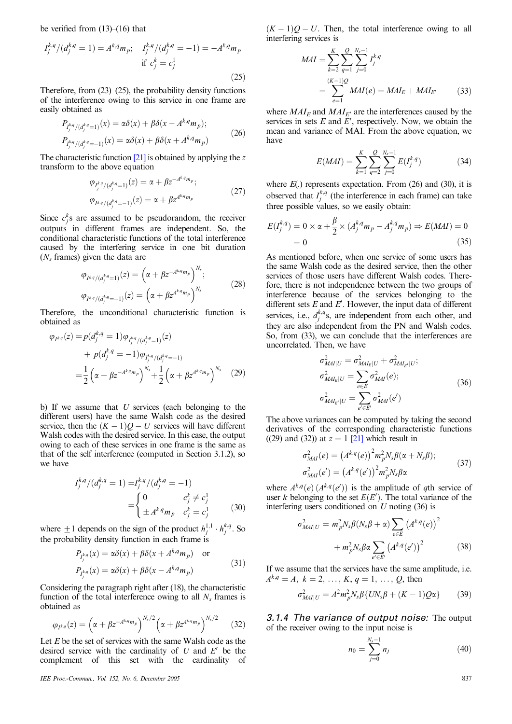be verified from (13)–(16) that

$$
I_j^{k,q}/(d_j^{k,q} = 1) = A^{k,q}m_p; \quad I_j^{k,q}/(d_j^{k,q} = -1) = -A^{k,q}m_p
$$
  
if  $c_j^k = c_j^1$  (25)

Therefore, from  $(23)$ – $(25)$ , the probability density functions of the interference owing to this service in one frame are easily obtained as

$$
P_{I_j^{k,q}/(d_j^{k,q}=1)}(x) = \alpha \delta(x) + \beta \delta(x - A^{k,q} m_p);
$$
  
\n
$$
P_{I_j^{k,q}/(d_j^{k,q}=1)}(x) = \alpha \delta(x) + \beta \delta(x + A^{k,q} m_p)
$$
\n(26)

The characteristic function  $[21]$  is obtained by applying the z transform to the above equation

$$
\varphi_{I_j^{k,q}/(d_j^{k,q}=1)}(z) = \alpha + \beta z^{-A^{k,q}m_p};
$$
  
\n
$$
\varphi_{I^{k,q}/(d_j^{k,q}=1)}(z) = \alpha + \beta z^{A^{k,q}m_p}
$$
\n(27)

 $\overline{A}$ *A* 

Since  $c_j^k$  are assumed to be pseudorandom, the receiver outputs in different frames are independent. So, the conditional characteristic functions of the total interference caused by the interfering service in one bit duration  $(N<sub>s</sub>$  frames) given the data are

$$
\varphi_{I^{k,q}/(d_j^{k,q}=1)}(z) = \left(\alpha + \beta z^{-A^{k,q}m_p}\right)^{N_s};
$$
  
\n
$$
\varphi_{I^{k,q}/(d_j^{k,q}=1)}(z) = \left(\alpha + \beta z^{A^{k,q}m_p}\right)^{N_s}
$$
\n(28)

Therefore, the unconditional characteristic function is obtained as

$$
\varphi_{I^{k,q}}(z) = p(d_j^{k,q} = 1)\varphi_{I_j^{k,q}/(d_j^{k,q} = 1)}(z) + p(d_j^{k,q} = -1)\varphi_{I_j^{k,q}/(d_j^{k,q} = -1)} = \frac{1}{2} \left( \alpha + \beta z^{-A^{k,q}m_p} \right)^{N_s} + \frac{1}{2} \left( \alpha + \beta z^{A^{k,q}m_p} \right)^{N_s} \tag{29}
$$

b) If we assume that  $U$  services (each belonging to the different users) have the same Walsh code as the desired service, then the  $(K - 1)Q - U$  services will have different Walsh codes with the desired service. In this case, the output owing to each of these services in one frame is the same as that of the self interference (computed in Section 3.1.2), so we have

$$
I_j^{k,q}/(d_j^{k,q} = 1) = I_j^{k,q}/(d_j^{k,q} = -1)
$$
  
= 
$$
\begin{cases} 0 & c_j^k \neq c_j^1 \\ \pm A^{k,q}m_p & c_j^k = c_j^1 \end{cases}
$$
 (30)

where  $\pm 1$  depends on the sign of the product  $h_j^{1,1} \cdot h_j^{k,q}$ . So the probability density function in each frame is

$$
P_{I_j^{k,q}}(x) = \alpha \delta(x) + \beta \delta(x + A^{k,q} m_p) \quad \text{or}
$$
  

$$
P_{I_j^{k,q}}(x) = \alpha \delta(x) + \beta \delta(x - A^{k,q} m_p)
$$
 (31)

Considering the paragraph right after (18), the characteristic function of the total interference owing to all  $N<sub>s</sub>$  frames is obtained as

$$
\varphi_{I^{k,q}}(z) = \left(\alpha + \beta z^{-A^{k,q}m_p}\right)^{N_s/2} \left(\alpha + \beta z^{A^{k,q}m_p}\right)^{N_s/2} \tag{32}
$$

Let  $E$  be the set of services with the same Walsh code as the desired service with the cardinality of  $U$  and  $E'$  be the complement of this set with the cardinality of

IEE Proc.-Commun., Vol. 152, No. 6, December 2005 837

 $(K-1)Q-U$ . Then, the total interference owing to all interfering services is

$$
MAI = \sum_{k=2}^{K} \sum_{q=1}^{Q} \sum_{j=0}^{N_s-1} I_j^{k,q}
$$
  
= 
$$
\sum_{e=1}^{(K-1)Q} MAI(e) = MAI_E + MAI_{E'}
$$
 (33)

where  $MAI<sub>E</sub>$  and  $MAI<sub>E'</sub>$  are the interferences caused by the services in sets  $E$  and  $E'$ , respectively. Now, we obtain the mean and variance of MAI. From the above equation, we have

$$
E(MAI) = \sum_{k=1}^{K} \sum_{q=2}^{Q} \sum_{j=0}^{N_s - 1} E(I_j^{k,q})
$$
 (34)

where  $E(.)$  represents expectation. From  $(26)$  and  $(30)$ , it is observed that  $I_j^{k,q}$  (the interference in each frame) can take three possible values, so we easily obtain:

$$
E(I_j^{k,q}) = 0 \times \alpha + \frac{\beta}{2} \times (A_j^{k,q} m_p - A_j^{k,q} m_p) \Rightarrow E(MAI) = 0
$$
  
= 0 (35)

As mentioned before, when one service of some users has the same Walsh code as the desired service, then the other services of those users have different Walsh codes. Therefore, there is not independence between the two groups of interference because of the services belonging to the different sets  $E$  and  $E'$ . However, the input data of different services, i.e.,  $d_j^{k,q}$ s, are independent from each other, and they are also independent from the PN and Walsh codes. So, from (33), we can conclude that the interferences are uncorrelated. Then, we have

$$
\sigma_{MAI|U}^{2} = \sigma_{MAI_{E}|U}^{2} + \sigma_{MAI_{E'}|U}^{2};
$$
\n
$$
\sigma_{MAI_{E}|U}^{2} = \sum_{e \in E} \sigma_{MAI}^{2}(e);
$$
\n
$$
\sigma_{MAI_{E'}|U}^{2} = \sum_{e' \in E'} \sigma_{MAI}^{2}(e')
$$
\n(36)

The above variances can be computed by taking the second derivatives of the corresponding characteristic functions ((29) and (32)) at  $z = 1$  [21] which result in

$$
\sigma_{MAI}^{2}(e) = (A^{k,q}(e))^{2} m_{p}^{2} N_{s} \beta(\alpha + N_{s} \beta);
$$
  
\n
$$
\sigma_{MAI}^{2}(e') = (A^{k,q}(e'))^{2} m_{p}^{2} N_{s} \beta \alpha
$$
\n(37)

where  $A^{k,q}(e)$   $(A^{k,q}(e'))$  is the amplitude of qth service of user k belonging to the set  $E(E')$ . The total variance of the interfering users conditioned on  $U$  noting (36) is

$$
\sigma_{MAI|U}^2 = m_p^2 N_s \beta (N_s \beta + \alpha) \sum_{e \in E} \left( A^{k,q}(e) \right)^2
$$

$$
+ m_p^2 N_s \beta \alpha \sum_{e' \in E'} \left( A^{k,q}(e') \right)^2 \tag{38}
$$

If we assume that the services have the same amplitude, i.e.  $A^{k,q} = A, k = 2, \ldots, K, q = 1, \ldots, Q$ , then

$$
\sigma_{MJI|U}^{2} = A^{2} m_{p}^{2} N_{s} \beta \{ U N_{s} \beta + (K - 1) Q \alpha \}
$$
 (39)

*3.1.4 The variance of output noise:* The output of the receiver owing to the input noise is

$$
n_0 = \sum_{j=0}^{N_s - 1} n_j \tag{40}
$$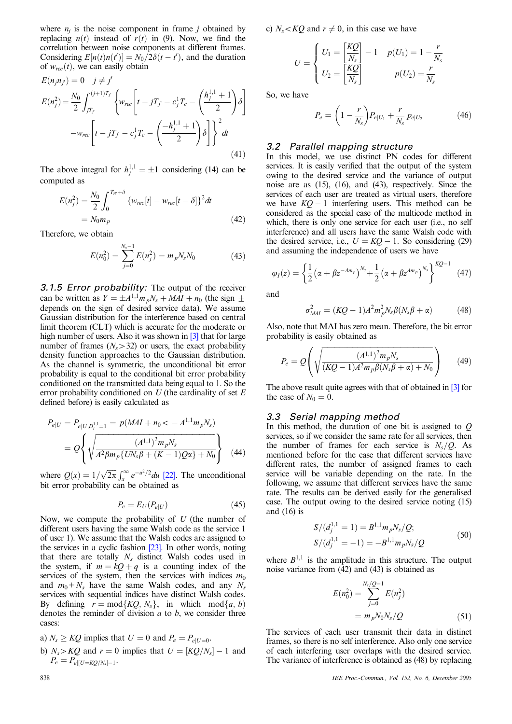where  $n_i$  is the noise component in frame j obtained by replacing  $n(t)$  instead of  $r(t)$  in (9). Now, we find the correlation between noise components at different frames. Considering  $E[n(t)n(t')] = N_0/2\delta(t-t')$ , and the duration of  $w_{rec}(t)$ , we can easily obtain

$$
E(n_j n_{j'}) = 0 \quad j \neq j'
$$
  
\n
$$
E(n_j^2) = \frac{N_0}{2} \int_{jT_j}^{(j+1)T_j} \left\{ w_{rec} \left[ t - jT_f - c_j^1 T_c - \left( \frac{h_j^{1,1} + 1}{2} \right) \delta \right] - w_{rec} \left[ t - jT_f - c_j^1 T_c - \left( \frac{-h_j^{1,1} + 1}{2} \right) \delta \right] \right\}^2 dt
$$
\n(41)

The above integral for  $h_j^{1,1} = \pm 1$  considering (14) can be computed as

$$
E(n_j^2) = \frac{N_0}{2} \int_0^{T_W + \delta} \{ w_{rec}[t] - w_{rec}[t - \delta] \}^2 dt
$$
  
=  $N_0 m_p$  (42)

Therefore, we obtain

$$
E(n_0^2) = \sum_{j=0}^{N_s - 1} E(n_j^2) = m_p N_s N_0
$$
 (43)

*3.1.5 Error probability:* The output of the receiver can be written as  $Y = \pm A^{1,1} m_p N_s + MAI + n_0$  (the sign  $\pm$ depends on the sign of desired service data). We assume Gaussian distribution for the interference based on central limit theorem (CLT) which is accurate for the moderate or high number of users. Also it was shown in [3] that for large number of frames  $(N_s > 32)$  or users, the exact probability density function approaches to the Gaussian distribution. As the channel is symmetric, the unconditional bit error probability is equal to the conditional bit error probability conditioned on the transmitted data being equal to 1. So the error probability conditioned on  $U$  (the cardinality of set  $E$ defined before) is easily calculated as

$$
P_{e|U} = P_{e|U,D_i^{1,1}=1} = p(MAI + n_0 < -A^{1,1}m_pN_s)
$$
  
=  $Q \left\{ \sqrt{\frac{(A^{1,1})^2 m_p N_s}{A^2 \beta m_p \{UN_s \beta + (K-1)Q\alpha\} + N_0}} \right\}$  (44)

where  $Q(x) = 1/\sqrt{2\pi} \int_x^{\infty} e^{-u^2/2} du$  [22]. The unconditional bit error probability can be obtained as

$$
P_e = E_U(P_{e|U})\tag{45}
$$

Now, we compute the probability of  $U$  (the number of different users having the same Walsh code as the service 1 of user 1). We assume that the Walsh codes are assigned to the services in a cyclic fashion [23]. In other words, noting that there are totally  $N_s$  distinct Walsh codes used in the system, if  $m = kQ + q$  is a counting index of the services of the system, then the services with indices  $m_0$ and  $m_0+N_s$  have the same Walsh codes, and any  $N_s$ services with sequential indices have distinct Walsh codes. By defining  $r = \text{mod}\{KQ, N_s\}$ , in which  $\text{mod}\{a, b\}$ denotes the reminder of division  $a$  to  $b$ , we consider three cases:

\n- a) 
$$
N_s \geq KQ
$$
 implies that  $U = 0$  and  $P_e = P_{e|U=0}$ .
\n- b)  $N_s > KQ$  and  $r = 0$  implies that  $U = [KQ/N_s] - 1$  and  $P_e = P_{e|U = KQ/N_s| - 1}$ .
\n

c)  $N_s < KQ$  and  $r \neq 0$ , in this case we have

$$
U = \begin{cases} U_1 = \left[\frac{KQ}{N_s}\right] - 1 & p(U_1) = 1 - \frac{r}{N_s} \\ U_2 = \left[\frac{KQ}{N_s}\right] & p(U_2) = \frac{r}{N_s} \end{cases}
$$

So, we have

$$
P_e = \left(1 - \frac{r}{N_s}\right) P_{e|U_1} + \frac{r}{N_s} p_{e|U_2}
$$
 (46)

# *3.2 Parallel mapping structure*

In this model, we use distinct PN codes for different services. It is easily verified that the output of the system owing to the desired service and the variance of output noise are as (15), (16), and (43), respectively. Since the services of each user are treated as virtual users, therefore we have  $KQ - 1$  interfering users. This method can be considered as the special case of the multicode method in which, there is only one service for each user (i.e., no self interference) and all users have the same Walsh code with the desired service, i.e.,  $U = KO - 1$ . So considering (29) and assuming the independence of users we have

$$
\varphi_I(z) = \left\{ \frac{1}{2} \left( \alpha + \beta z^{-Am_p} \right)^{N_s} + \frac{1}{2} \left( \alpha + \beta z^{Am_p} \right)^{N_s} \right\}^{KQ-1}
$$
(47)

and

$$
\sigma_{MAI}^2 = (KQ - 1)A^2 m_p^2 N_s \beta (N_s \beta + \alpha) \tag{48}
$$

Also, note that MAI has zero mean. Therefore, the bit error probability is easily obtained as

$$
P_e = Q\left(\sqrt{\frac{(A^{1,1})^2 m_p N_s}{(KQ - 1)A^2 m_p \beta(N_s \beta + \alpha) + N_0}}\right) \tag{49}
$$

The above result quite agrees with that of obtained in [3] for the case of  $N_0 = 0$ .

# *3.3 Serial mapping method*

In this method, the duration of one bit is assigned to  $Q$ services, so if we consider the same rate for all services, then the number of frames for each service is  $N_s/Q$ . As mentioned before for the case that different services have different rates, the number of assigned frames to each service will be variable depending on the rate. In the following, we assume that different services have the same rate. The results can be derived easily for the generalised case. The output owing to the desired service noting (15) and  $(16)$  is

$$
S/(d_j^{1,1} = 1) = B^{1,1} m_p N_s / Q;
$$
  
\n
$$
S/(d_j^{1,1} = -1) = -B^{1,1} m_p N_s / Q
$$
\n(50)

where  $B^{1,1}$  is the amplitude in this structure. The output noise variance from (42) and (43) is obtained as

$$
E(n_0^2) = \sum_{j=0}^{N_s/Q-1} E(n_j^2)
$$
  
=  $m_p N_0 N_s/Q$  (51)

The services of each user transmit their data in distinct frames, so there is no self interference. Also only one service of each interfering user overlaps with the desired service. The variance of interference is obtained as (48) by replacing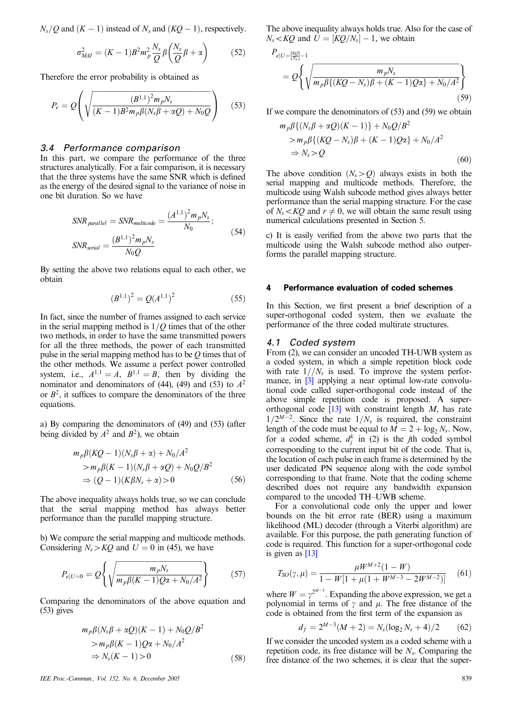$N_s$  *Q* and  $(K - 1)$  instead of  $N_s$  and  $(KQ - 1)$ , respectively.

$$
\sigma_{MAI}^2 = (K-1)B^2 m_p^2 \frac{N_s}{Q} \beta \left(\frac{N_s}{Q} \beta + \alpha\right) \tag{52}
$$

Therefore the error probability is obtained as

$$
P_e = Q\left(\sqrt{\frac{(B^{1,1})^2 m_p N_s}{(K-1)B^2 m_p \beta(N_s \beta + \alpha Q) + N_0 Q}}\right) \quad (53)
$$

# *3.4 Performance comparison*

In this part, we compare the performance of the three structures analytically. For a fair comparison, it is necessary that the three systems have the same SNR which is defined as the energy of the desired signal to the variance of noise in one bit duration. So we have

$$
SNR_{parallel} = SNR_{multicode} = \frac{(A^{1,1})^2 m_p N_s}{N_0};
$$
  
\n
$$
SNR_{serial} = \frac{(B^{1,1})^2 m_p N_s}{N_0 Q}
$$
 (54)

By setting the above two relations equal to each other, we obtain

$$
(B^{1,1})^2 = Q(A^{1,1})^2 \tag{55}
$$

In fact, since the number of frames assigned to each service in the serial mapping method is  $1/Q$  times that of the other two methods, in order to have the same transmitted powers for all the three methods, the power of each transmitted pulse in the serial mapping method has to be *Q* times that of the other methods. We assume a perfect power controlled system, i.e.,  $A^{1,1} = A$ ,  $B^{1,1} = B$ , then by dividing the nominator and denominators of (44), (49) and (53) to  $A^2$ or  $B^2$ , it suffices to compare the denominators of the three equations.

a) By comparing the denominators of (49) and (53) (after being divided by  $A^2$  and  $B^2$ ), we obtain

$$
m_p \beta (KQ - 1)(N_s \beta + \alpha) + N_0/A^2
$$
  
> 
$$
m_p \beta (K - 1)(N_s \beta + \alpha Q) + N_0 Q/B^2
$$
  

$$
\Rightarrow (Q - 1)(K\beta N_s + \alpha) > 0
$$
 (56)

The above inequality always holds true, so we can conclude that the serial mapping method has always better performance than the parallel mapping structure.

b) We compare the serial mapping and multicode methods. Considering  $N_s > KQ$  and  $U = 0$  in (45), we have

$$
P_{e|U=0} = Q \left\{ \sqrt{\frac{m_p N_s}{m_p \beta (K-1) Q \alpha + N_0 / A^2}} \right\}
$$
(57)

Comparing the denominators of the above equation and (53) gives

$$
m_p \beta (N_s \beta + \alpha Q)(K - 1) + N_0 Q/B^2
$$
  
\n
$$
> m_p \beta (K - 1)Q\alpha + N_0/A^2
$$
  
\n
$$
\Rightarrow N_s(K - 1) > 0
$$
 (58)

IEE Proc.-Commun., Vol. 152, No. 6, December 2005 839

The above inequality always holds true. Also for the case of  $N_s < KQ$  and  $U = [KQ/N_s] - 1$ , we obtain

$$
P_{e|U=\frac{KQ}{N_s}-1}
$$
  
=  $Q \left\{ \sqrt{\frac{m_p N_s}{m_p \beta \{ (KQ - N_s)\beta + (K - 1)Q\alpha\} + N_0/A^2}} \right\}$  (59)

If we compare the denominators of (53) and (59) we obtain

$$
m_p \beta \{ (N_s \beta + \alpha Q)(K - 1) \} + N_0 Q / B^2
$$
  
> 
$$
m_p \beta \{ (KQ - N_s) \beta + (K - 1)Q\alpha \} + N_0 / A^2
$$
  

$$
\Rightarrow N_s > Q
$$
 (60)

The above condition  $(N_s > Q)$  always exists in both the serial mapping and multicode methods. Therefore, the multicode using Walsh subcode method gives always better performance than the serial mapping structure. For the case of  $N_s < KQ$  and  $r \neq 0$ , we will obtain the same result using numerical calculations presented in Section 5.

c) It is easily verified from the above two parts that the multicode using the Walsh subcode method also outperforms the parallel mapping structure.

# **4 Performance evaluation of coded schemes**

In this Section, we first present a brief description of a super-orthogonal coded system, then we evaluate the performance of the three coded multirate structures.

#### *4.1 Coded system*

From (2), we can consider an uncoded TH-UWB system as a coded system, in which a simple repetition block code with rate  $1//N<sub>s</sub>$  is used. To improve the system performance, in [3] applying a near optimal low-rate convolutional code called super-orthogonal code instead of the above simple repetition code is proposed. A superorthogonal code  $[13]$  with constraint length M, has rate  $1/2^{M-2}$ . Since the rate  $1/N_s$  is required, the constraint length of the code must be equal to  $\overline{M} = 2 + \log_2 N_s$ . Now, for a coded scheme,  $d_j^k$  in (2) is the *j*th coded symbol corresponding to the current input bit of the code. That is, the location of each pulse in each frame is determined by the user dedicated PN sequence along with the code symbol corresponding to that frame. Note that the coding scheme described does not require any bandwidth expansion compared to the uncoded TH–UWB scheme.

For a convolutional code only the upper and lower bounds on the bit error rate (BER) using a maximum likelihood (ML) decoder (through a Viterbi algorithm) are available. For this purpose, the path generating function of code is required. This function for a super-orthogonal code is given as [13]

$$
T_{SO}(\gamma,\mu) = \frac{\mu W^{M+2} (1 - W)}{1 - W[1 + \mu(1 + W^{M-3} - 2W^{M-2})]} \tag{61}
$$

where  $W = \gamma^{2^{M-3}}$ . Expanding the above expression, we get a polynomial in terms of  $\gamma$  and  $\mu$ . The free distance of the code is obtained from the first term of the expansion as

$$
d_f = 2^{M-3}(M+2) = N_s(\log_2 N_s + 4)/2 \tag{62}
$$

If we consider the uncoded system as a coded scheme with a repetition code, its free distance will be  $N<sub>s</sub>$ . Comparing the free distance of the two schemes, it is clear that the super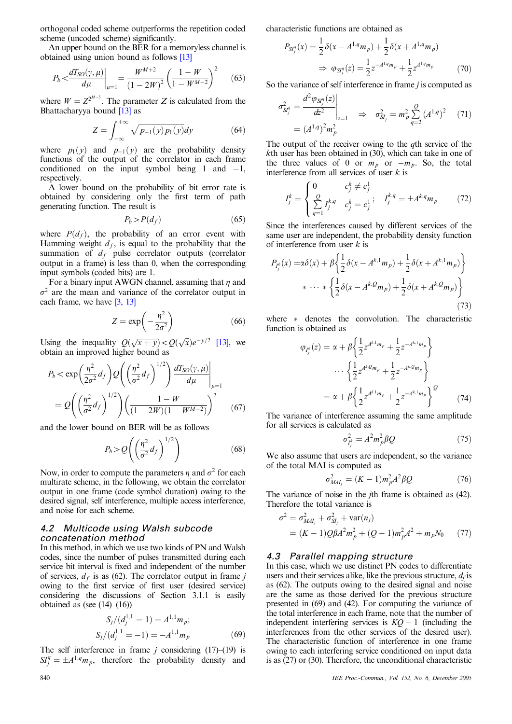orthogonal coded scheme outperforms the repetition coded scheme (uncoded scheme) significantly.

An upper bound on the BER for a memoryless channel is obtained using union bound as follows [13]

$$
P_b < \frac{dT_{SO}(\gamma, \mu)}{d\mu}\bigg|_{\mu=1} = \frac{W^{M+2}}{(1 - 2W)^2} \left(\frac{1 - W}{1 - W^{M-2}}\right)^2 \tag{63}
$$

where  $W = Z^{2^{M-3}}$ . The parameter Z is calculated from the Bhattacharyya bound  $\overline{13}$  as

$$
Z = \int_{-\infty}^{+\infty} \sqrt{p_{-1}(y)p_1(y)} dy
$$
 (64)

where  $p_1(y)$  and  $p_{-1}(y)$  are the probability density functions of the output of the correlator in each frame conditioned on the input symbol being 1 and  $-1$ , respectively.

A lower bound on the probability of bit error rate is obtained by considering only the first term of path generating function. The result is

$$
P_b > P(d_f) \tag{65}
$$

where  $P(d_f)$ , the probability of an error event with Hamming weight  $d_f$ , is equal to the probability that the summation of  $d_f$  pulse correlator outputs (correlator output in a frame) is less than 0, when the corresponding input symbols (coded bits) are 1.

For a binary input AWGN channel, assuming that  $\eta$  and  $\sigma^2$  are the mean and variance of the correlator output in each frame, we have [3, 13]

$$
Z = \exp\left(-\frac{\eta^2}{2\sigma^2}\right) \tag{66}
$$

Using the inequality  $Q(\sqrt{x+y}) < Q(\sqrt{x})e^{-y/2}$  [13], we obtain an improved higher bound as

$$
P_b < \exp\left(\frac{\eta^2}{2\sigma^2}d_f\right)Q\left(\left(\frac{\eta^2}{\sigma^2}d_f\right)^{1/2}\right)\frac{dT_{SO}(\gamma,\mu)}{d\mu}\Bigg|_{\mu=1}
$$
\n
$$
=Q\left(\left(\frac{\eta^2}{\sigma^2}d_f\right)^{1/2}\right)\left(\frac{1-W}{(1-2W)(1-W^{M-2})}\right)^2\tag{67}
$$

and the lower bound on BER will be as follows

$$
P_b > Q\left(\left(\frac{\eta^2}{\sigma^2}d_f\right)^{1/2}\right) \tag{68}
$$

Now, in order to compute the parameters  $\eta$  and  $\sigma^2$  for each multirate scheme, in the following, we obtain the correlator output in one frame (code symbol duration) owing to the desired signal, self interference, multiple access interference, and noise for each scheme.

# *4.2 Multicode using Walsh subcode concatenation method*

In this method, in which we use two kinds of PN and Walsh codes, since the number of pulses transmitted during each service bit interval is fixed and independent of the number of services,  $d_f$  is as (62). The correlator output in frame j owing to the first service of first user (desired service) considering the discussions of Section 3.1.1 is easily obtained as (see  $(14)$ – $(16)$ )

$$
S_j/(d_j^{1,1} = 1) = A^{1,1} m_p;
$$
  
\n
$$
S_j/(d_j^{1,1} = -1) = -A^{1,1} m_p
$$
 (69)

The self interference in frame  $j$  considering (17)–(19) is  $SI_j^q = \pm A^{1,q} m_p$ , therefore the probability density and

characteristic functions are obtained as

*PSIq*

$$
S_{S_j^q}(x) = \frac{1}{2}\delta(x - A^{1,q}m_p) + \frac{1}{2}\delta(x + A^{1,q}m_p)
$$
  
\n
$$
\Rightarrow \varphi_{S_j^q}(z) = \frac{1}{2}z^{-A^{1,q}m_p} + \frac{1}{2}z^{A^{1,q}m_p} \tag{70}
$$

So the variance of self interference in frame  $j$  is computed as

$$
\sigma_{SI_j^q}^2 = \frac{d^2 \varphi_{SI_j^q}(z)}{dz^2} \Big|_{z=1} \quad \Rightarrow \quad \sigma_{SI_j}^2 = m_p^2 \sum_{q=2}^Q (A^{1,q})^2 \tag{71}
$$
\n
$$
= (A^{1,q})^2 m_p^2
$$

The output of the receiver owing to the  $q$ th service of the kth user has been obtained in (30), which can take in one of the three values of 0 or  $m_p$  or  $-m_p$ . So, the total interference from all services of user  $k$  is

$$
I_j^k = \begin{cases} 0 & c_j^k \neq c_j^1 \\ \sum_{q=1}^Q I_j^{k,q} & c_j^k = c_j^1 \end{cases}; \quad I_j^{k,q} = \pm A^{k,q} m_p \tag{72}
$$

Since the interferences caused by different services of the same user are independent, the probability density function of interference from user  $k$  is

$$
P_{I_j^k}(x) = \alpha \delta(x) + \beta \left\{ \frac{1}{2} \delta(x - A^{k,1} m_p) + \frac{1}{2} \delta(x + A^{k,1} m_p) \right\} + \cdots + \left\{ \frac{1}{2} \delta(x - A^{k,2} m_p) + \frac{1}{2} \delta(x + A^{k,2} m_p) \right\}
$$
(73)

where  $*$  denotes the convolution. The characteristic function is obtained as

$$
\varphi_{I_j^k}(z) = \alpha + \beta \left\{ \frac{1}{2} z^{A^{k,1}m_p} + \frac{1}{2} z^{-A^{k,1}m_p} \right\} \n\cdots \left\{ \frac{1}{2} z^{A^{k,2}m_p} + \frac{1}{2} z^{-A^{k,2}m_p} \right\} \n= \alpha + \beta \left\{ \frac{1}{2} z^{A^{k,1}m_p} + \frac{1}{2} z^{-A^{k,1}m_p} \right\}^{\mathcal{Q}} \tag{74}
$$

The variance of interference assuming the same amplitude for all services is calculated as

$$
\sigma_{I_j^k}^2 = A^2 m_p^2 \beta Q \tag{75}
$$

We also assume that users are independent, so the variance of the total MAI is computed as

$$
\sigma_{MAI_j}^2 = (K - 1)m_p^2 A^2 \beta Q \qquad (76)
$$

The variance of noise in the *j*th frame is obtained as (42). Therefore the total variance is

$$
\sigma^2 = \sigma_{MAI_j}^2 + \sigma_{SI_j}^2 + \text{var}(n_j)
$$
  
=  $(K - 1)Q\beta A^2 m_p^2 + (Q - 1)m_p^2 A^2 + m_p N_0$  (77)

# *4.3 Parallel mapping structure*

In this case, which we use distinct PN codes to differentiate users and their services alike, like the previous structure,  $d_f$  is as (62). The outputs owing to the desired signal and noise are the same as those derived for the previous structure presented in (69) and (42). For computing the variance of the total interference in each frame, note that the number of independent interfering services is  $KQ - 1$  (including the interferences from the other services of the desired user). The characteristic function of interference in one frame owing to each interfering service conditioned on input data is as (27) or (30). Therefore, the unconditional characteristic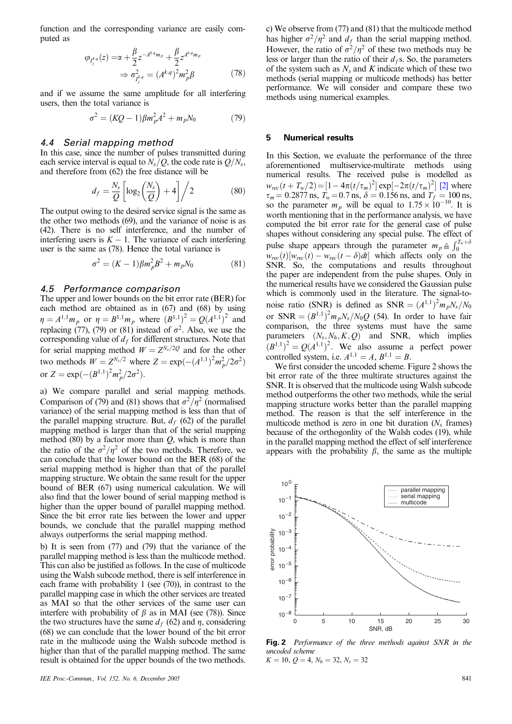function and the corresponding variance are easily computed as

$$
\varphi_{I_j^{k,q}}(z) = \alpha + \frac{\beta}{2} z^{-A^{k,q}m_p} + \frac{\beta}{2} z^{A^{k,q}m_p} \n\Rightarrow \sigma_{I_j^{k,q}}^2 = (A^{k,q})^2 m_p^2 \beta
$$
\n(78)

and if we assume the same amplitude for all interfering users, then the total variance is

$$
\sigma^2 = (KQ - 1)\beta m_p^2 A^2 + m_p N_0 \tag{79}
$$

#### *4.4 Serial mapping method*

In this case, since the number of pulses transmitted during each service interval is equal to  $N_s/Q$ , the code rate is  $Q/N_s$ , and therefore from (62) the free distance will be

$$
d_f = \frac{N_s}{Q} \left[ \log_2 \left( \frac{N_s}{Q} \right) + 4 \right] / 2 \tag{80}
$$

The output owing to the desired service signal is the same as the other two methods (69), and the variance of noise is as (42). There is no self interference, and the number of interfering users is  $K - 1$ . The variance of each interfering user is the same as (78). Hence the total variance is

$$
\sigma^2 = (K - 1)\beta m_p^2 B^2 + m_p N_0 \tag{81}
$$

# *4.5 Performance comparison*

The upper and lower bounds on the bit error rate (BER) for each method are obtained as in (67) and (68) by using  $\eta = A^{1,1} m_p$  or  $\eta = B^{1,1} m_p$  where  $(B^{1,1})^2 = Q(A^{1,1})^2$  and replacing (77), (79) or (81) instead of  $\sigma^2$ . Also, we use the corresponding value of  $d_f$  for different structures. Note that for serial mapping method  $W = Z^{N_s/2Q}$  and for the other two methods  $W = Z^{N_s/2}$  where  $Z = \exp(-(A^{1,1})^2 m_p^2 / 2\sigma^2)$ or  $Z = \exp(-(B^{1,1})^2 m_p^2 / 2\sigma^2)$ .

a) We compare parallel and serial mapping methods. Comparison of (79) and (81) shows that  $\sigma^2/\eta^2$  (normalised variance) of the serial mapping method is less than that of the parallel mapping structure. But,  $d_f$  (62) of the parallel mapping method is larger than that of the serial mapping method  $(80)$  by a factor more than  $Q$ , which is more than the ratio of the  $\sigma^2/\eta^2$  of the two methods. Therefore, we can conclude that the lower bound on the BER (68) of the serial mapping method is higher than that of the parallel mapping structure. We obtain the same result for the upper bound of BER (67) using numerical calculation. We will also find that the lower bound of serial mapping method is higher than the upper bound of parallel mapping method. Since the bit error rate lies between the lower and upper bounds, we conclude that the parallel mapping method always outperforms the serial mapping method.

b) It is seen from (77) and (79) that the variance of the parallel mapping method is less than the multicode method. This can also be justified as follows. In the case of multicode using the Walsh subcode method, there is self interference in each frame with probability 1 (see (70)), in contrast to the parallel mapping case in which the other services are treated as MAI so that the other services of the same user can interfere with probability of  $\beta$  as in MAI (see (78)). Since the two structures have the same  $d_f$  (62) and  $\eta$ , considering (68) we can conclude that the lower bound of the bit error rate in the multicode using the Walsh subcode method is higher than that of the parallel mapping method. The same result is obtained for the upper bounds of the two methods.

c) We observe from (77) and (81) that the multicode method has higher  $\sigma^2/\eta^2$  and  $d_f$  than the serial mapping method. However, the ratio of  $\sigma^2/\eta^2$  of these two methods may be less or larger than the ratio of their  $d_f$ s. So, the parameters of the system such as  $N_s$  and K indicate which of these two methods (serial mapping or multicode methods) has better performance. We will consider and compare these two methods using numerical examples.

# **5 Numerical results**

In this Section, we evaluate the performance of the three aforementioned multiservice-multirate methods using numerical results. The received pulse is modelled as  $w_{rec}(t + T_w/2) = [1 - 4\pi (t/\tau_m)^2] \exp[-2\pi (t/\tau_m)^2]$  [2] where  $\tau_m$  = 0.2877 ns,  $T_w$  = 0.7 ns,  $\delta$  = 0.156 ns, and  $T_f$  = 100 ns, so the parameter  $m_p$  will be equal to  $1.75 \times 10^{-10}$ . It is worth mentioning that in the performance analysis, we have computed the bit error rate for the general case of pulse shapes without considering any special pulse. The effect of pulse shape appears through the parameter  $m_p \triangleq \int_0^{T_w+\delta}$  $\theta$  $w_{rec}(t)[w_{rec}(t) - w_{rec}(t - \delta)dt]$  which affects only on the SNR. So, the computations and results throughout the paper are independent from the pulse shapes. Only in the numerical results have we considered the Gaussian pulse which is commonly used in the literature. The signal-tonoise ratio (SNR) is defined as  $SNR = (A^{1,1})^2 m_p N_s/N_0$ or  $SNR = (B^{1,1})^2 m_p N_s / N_0 Q$  (54). In order to have fair comparison, the three systems must have the same parameters  $(N_s, N_h, K, Q)$  and SNR, which implies  $(B^{1,1})^2 = Q(A^{1,1})^2$ . We also assume a perfect power controlled system, i.e.  $A^{1,1} = A, B^{1,1} = B$ .

We first consider the uncoded scheme. Figure 2 shows the bit error rate of the three multirate structures against the SNR. It is observed that the multicode using Walsh subcode method outperforms the other two methods, while the serial mapping structure works better than the parallel mapping method. The reason is that the self interference in the multicode method is zero in one bit duration (*Ns* frames) because of the orthogonlity of the Walsh codes (19), while in the parallel mapping method the effect of self interference appears with the probability  $\beta$ , the same as the multiple



Fig. 2 Performance of the three methods against SNR in the uncoded scheme  $K = 10, Q = 4, N_h = 32, N_s = 32$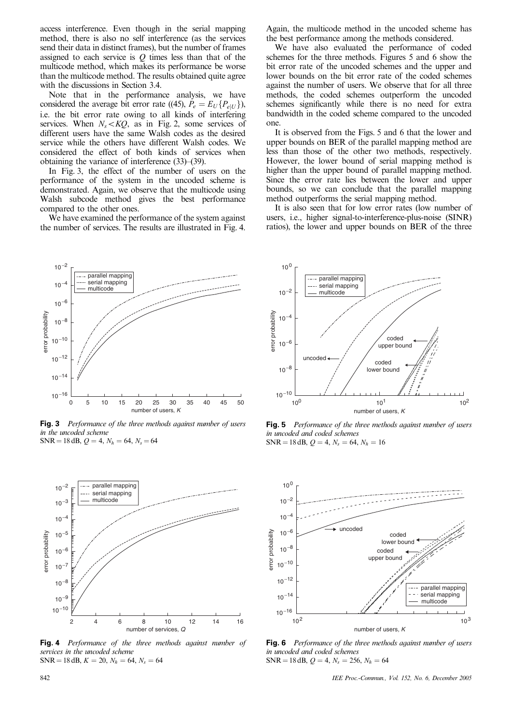access interference. Even though in the serial mapping method, there is also no self interference (as the services send their data in distinct frames), but the number of frames assigned to each service is  $Q$  times less than that of the multicode method, which makes its performance be worse than the multicode method. The results obtained quite agree with the discussions in Section 3.4.

Note that in the performance analysis, we have considered the average bit error rate ((45),  $P_e = E_U\{P_{e|U}\}\,$ , i.e. the bit error rate owing to all kinds of interfering services. When  $N_s < KQ$ , as in Fig. 2, some services of different users have the same Walsh codes as the desired service while the others have different Walsh codes. We considered the effect of both kinds of services when obtaining the variance of interference (33)–(39).

In Fig. 3, the effect of the number of users on the performance of the system in the uncoded scheme is demonstrated. Again, we observe that the multicode using Walsh subcode method gives the best performance compared to the other ones.

We have examined the performance of the system against the number of services. The results are illustrated in Fig. 4.

Again, the multicode method in the uncoded scheme has the best performance among the methods considered.

We have also evaluated the performance of coded schemes for the three methods. Figures 5 and 6 show the bit error rate of the uncoded schemes and the upper and lower bounds on the bit error rate of the coded schemes against the number of users. We observe that for all three methods, the coded schemes outperform the uncoded schemes significantly while there is no need for extra bandwidth in the coded scheme compared to the uncoded one.

It is observed from the Figs. 5 and 6 that the lower and upper bounds on BER of the parallel mapping method are less than those of the other two methods, respectively. However, the lower bound of serial mapping method is higher than the upper bound of parallel mapping method. Since the error rate lies between the lower and upper bounds, so we can conclude that the parallel mapping method outperforms the serial mapping method.

It is also seen that for low error rates (low number of users, i.e., higher signal-to-interference-plus-noise (SINR) ratios), the lower and upper bounds on BER of the three



**Fig. 3** Performance of the three methods against number of users in the uncoded scheme  $SNR = 18$  dB,  $Q = 4$ ,  $N_h = 64$ ,  $N_s = 64$ 



Fig. 4 Performance of the three methods against number of services in the uncoded scheme  $SNR = 18$  dB,  $K = 20$ ,  $N_h = 64$ ,  $N_s = 64$ 



**Fig. 5** Performance of the three methods against number of users in uncoded and coded schemes  $SNR = 18$  dB,  $Q = 4$ ,  $N_s = 64$ ,  $N_h = 16$ 



**Fig. 6** Performance of the three methods against number of users in uncoded and coded schemes  $SNR = 18$  dB,  $Q = 4$ ,  $N_s = 256$ ,  $N_h = 64$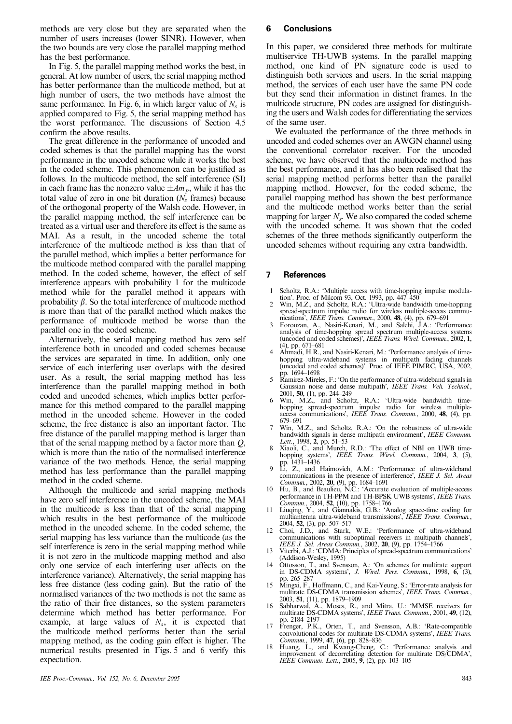methods are very close but they are separated when the number of users increases (lower SINR). However, when the two bounds are very close the parallel mapping method has the best performance.

In Fig. 5, the parallel mapping method works the best, in general. At low number of users, the serial mapping method has better performance than the multicode method, but at high number of users, the two methods have almost the same performance. In Fig. 6, in which larger value of  $N_s$  is applied compared to Fig. 5, the serial mapping method has the worst performance. The discussions of Section 4.5 confirm the above results.

The great difference in the performance of uncoded and coded schemes is that the parallel mapping has the worst performance in the uncoded scheme while it works the best in the coded scheme. This phenomenon can be justified as follows. In the multicode method, the self interference (SI) in each frame has the nonzero value  $\pm Am_p$ , while it has the total value of zero in one bit duration  $(N<sub>s</sub>$  frames) because of the orthogonal property of the Walsh code. However, in the parallel mapping method, the self interference can be treated as a virtual user and therefore its effect is the same as MAI. As a result, in the uncoded scheme the total interference of the multicode method is less than that of the parallel method, which implies a better performance for the multicode method compared with the parallel mapping method. In the coded scheme, however, the effect of self interference appears with probability 1 for the multicode method while for the parallel method it appears with probability  $\beta$ . So the total interference of multicode method is more than that of the parallel method which makes the performance of multicode method be worse than the parallel one in the coded scheme.

Alternatively, the serial mapping method has zero self interference both in uncoded and coded schemes because the services are separated in time. In addition, only one service of each interfering user overlaps with the desired user. As a result, the serial mapping method has less interference than the parallel mapping method in both coded and uncoded schemes, which implies better performance for this method compared to the parallel mapping method in the uncoded scheme. However in the coded scheme, the free distance is also an important factor. The free distance of the parallel mapping method is larger than that of the serial mapping method by a factor more than  $Q$ , which is more than the ratio of the normalised interference variance of the two methods. Hence, the serial mapping method has less performance than the parallel mapping method in the coded scheme.

Although the multicode and serial mapping methods have zero self interference in the uncoded scheme, the MAI in the multicode is less than that of the serial mapping which results in the best performance of the multicode method in the uncoded scheme. In the coded scheme, the serial mapping has less variance than the multicode (as the self interference is zero in the serial mapping method while it is not zero in the multicode mapping method and also only one service of each interfering user affects on the interference variance). Alternatively, the serial mapping has less free distance (less coding gain). But the ratio of the normalised variances of the two methods is not the same as the ratio of their free distances, so the system parameters determine which method has better performance. For example, at large values of  $N_s$ , it is expected that the multicode method performs better than the serial mapping method, as the coding gain effect is higher. The numerical results presented in Figs. 5 and 6 verify this expectation.

# **6 Conclusions**

In this paper, we considered three methods for multirate multiservice TH-UWB systems. In the parallel mapping method, one kind of PN signature code is used to distinguish both services and users. In the serial mapping method, the services of each user have the same PN code but they send their information in distinct frames. In the multicode structure, PN codes are assigned for distinguishing the users and Walsh codes for differentiating the services of the same user.

We evaluated the performance of the three methods in uncoded and coded schemes over an AWGN channel using the conventional correlator receiver. For the uncoded scheme, we have observed that the multicode method has the best performance, and it has also been realised that the serial mapping method performs better than the parallel mapping method. However, for the coded scheme, the parallel mapping method has shown the best performance and the multicode method works better than the serial mapping for larger  $N<sub>s</sub>$ . We also compared the coded scheme with the uncoded scheme. It was shown that the coded schemes of the three methods significantly outperform the uncoded schemes without requiring any extra bandwidth.

#### **7 References**

- 1 Scholtz, R.A.: 'Multiple access with time-hopping impulse modulation'. Proc. of Milcom 93, Oct. 1993, pp. 447–450
- 2 Win, M.Z., and Scholtz, R.A.: 'Ultra-wide bandwidth time-hopping spread-spectrum impulse radio for wireless multiple-access communications', IEEE Trans. Commun., 2000, 48, (4), pp. 679–691
- 3 Forouzan, A., Nasiri-Kenari, M., and Salehi, J.A.: 'Performance analysis of time-hopping spread spectrum multiple-access systems (uncoded and coded schemes)', *IEEE Trans. Wirel. Commun.*, 2002, 1, (4), pp. 671–681
- Ahmadi, H.R., and Nasiri-Kenari, M.: 'Performance analysis of timehopping ultra-wideband systems in multipath fading channels (uncoded and coded schemes)'. Proc. of IEEE PIMRC, USA, 2002,
- pp. 1694–1698<br>
5 Ramirez-Mireles, F.: 'On the performance of ultra-wideband signals in<br>
Gaussian noise and dense multipath', *IEEE Trans. Veh. Technol.*, 2001, 50, (1), pp. 244–249
- 6 Win, M.Z., and Scholtz, R.A.: 'Ultra-wide bandwidth time-hopping spread-spectrum impulse radio for wireless multipleaccess communications', IEEE Trans. Commun., 2000, 48, (4), pp.<br>679–691
- Win, M.Z., and Scholtz, R.A.: 'On the robustness of ultra-wide bandwidth signals in dense multipath environment', IEEE Commun.<br>Lett., 1998, 2, pp. 51–53
- Xiaoli, C., and Murch, R.D.: 'The effect of NBI on UWB timehopping systems', *IEEE Trans. Wirel. Commun.*, 2004, 3, (5), pp. 1431–1436<br>9 Li, Z., and Haimovich, A.M.: 'Performance of ultra-wideband
- communications in the presence of interference', IEEE J. Sel. Areas
- Commun., 2002, **20**, (9), pp. 1684–1691<br>10 Hu, B., and Beaulieu, N.C.: 'Accurate evaluation of multiple-access<br>performance in TH-PPM and TH-BPSK UWB systems', *IEEE Trans*. Commun., 2004, 52, (10), pp. 1758-1766
- 11 Liuqing, Y., and Giannakis, G.B.: 'Analog space-time coding for multiantenna ultra-wideband transmissions', IEEE Trans. Commun., 2004, 52, (3), pp. 507–517
- 12 Choi, J.D., and Stark, W.E.: 'Performance of ultra-wideband communications with suboptimal receivers in multipath channels',
- IEEE J. Sel. Areas Commun., 2002, 20, (9), pp. 1754–1766<br>13 Viterbi, A.J.: 'CDMA: Principles of spread-spectrum communications' (Addison-Wesley, 1995)
- 14 Ottosson, T., and Svensson, A.: 'On schemes for multirate support in DS-CDMA systems', J. Wirel. Pers. Commun., 1998, 6, (3), pp. 265–287
- 15 Mingxi, F., Hoffmann, C., and Kai-Yeung, S.: 'Error-rate analysis for multirate DS-CDMA transmission schemes', *IEEE Trans. Commun.*, multirate DS-CDMA transmission schemes', *IEEE Trans. Commun.*, 2003, **51**, (11), pp. 1879–1909<br>16 Sabharwal, A., Moses, R., and Mitra, U.: 'MMSE receivers for multirate DS-CDMA systems', *IEEE Trans. Commun.*, 2001, **49**,
- 
- pp. 2184–2197<br>
17 Frenger, P.K., Orten, T., and Svensson, A.B.: 'Rate-compatible<br>
convolutional codes for multirate DS-CDMA systems', IEEE Trans.<br>
Commun., 1999, 47, (6), pp. 828–836
- 18 Huang, L., and Kwang-Cheng, C.: 'Performance analysis and improvement of decorrelating detection for multirate DS/CDMA', IEEE Commun. Lett., 2005,  $\overline{9}$ , (2), pp. 103-105